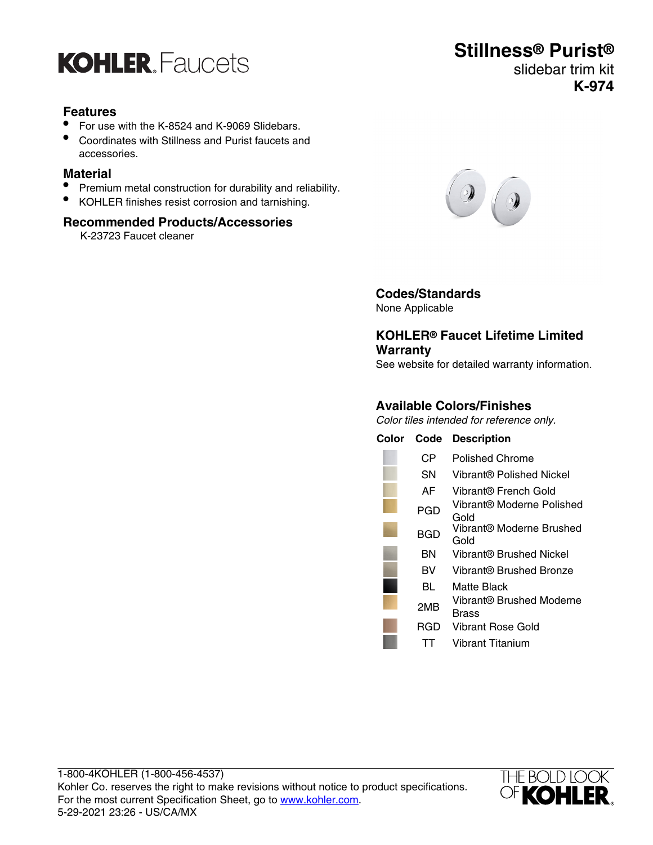

#### **Features**

- For use with the K-8524 and K-9069 Slidebars.
- Coordinates with Stillness and Purist faucets and accessories.

#### **Material**

- Premium metal construction for durability and reliability.
- KOHLER finishes resist corrosion and tarnishing.

#### **Recommended Products/Accessories**

K-23723 Faucet cleaner





## **Codes/Standards**

None Applicable

#### **KOHLER® Faucet Lifetime Limited Warranty**

See website for detailed warranty information.

#### **Available Colors/Finishes**

Color tiles intended for reference only.

| Color | Code | <b>Description</b>                |
|-------|------|-----------------------------------|
|       | CР   | Polished Chrome                   |
|       | SΝ   | Vibrant® Polished Nickel          |
|       | AF   | Vibrant® French Gold              |
|       | PGD  | Vibrant® Moderne Polished<br>Gold |
|       | BGD  | Vibrant® Moderne Brushed<br>Gold  |
|       | ΒN   | Vibrant® Brushed Nickel           |
|       | BV   | Vibrant® Brushed Bronze           |
|       | BL   | Matte Black                       |
|       | 2MB  | Vibrant® Brushed Moderne<br>Brass |
|       | RGD  | Vibrant Rose Gold                 |
|       |      | Vibrant Titanium                  |